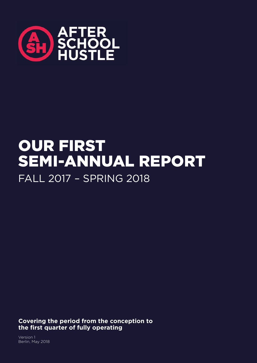

# OUR FIRST SEMI-ANNUAL REPORT FALL 2017 – SPRING 2018

**Covering the period from the conception to the first quarter of fully operating**

Version 1 Berlin, May 2018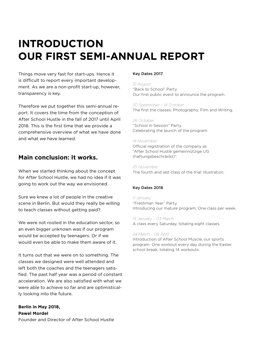## **INTRODUCTION OUR FIRST SEMI-ANNUAL REPORT**

Things move very fast for start-ups. Hence it is difficult to report every important development. As we are a non-profit start-up, however, transparency is key.

Therefore we put together this semi-annual report. It covers the time from the conception of After School Hustle in the fall of 2017 until April 2018. This is the first time that we provide a comprehensive overview of what we have done and what we have learned.

## **Main conclusion: It works.**

When we started thinking about the concept for After School Hustle, we had no idea if it was going to work out the way we envisioned.

Sure we knew a lot of people in the creative scene in Berlin. But would they really be willing to teach classes without getting paid?

We were not rooted in the education sector, so an even bigger unknown was if our program would be accepted by teenagers. Or if we would even be able to make them aware of it.

It turns out that we were on to something. The classes we designed were well attended and left both the coaches and the teenagers satisfied. The past half year was a period of constant acceleration. We are also satisfied with what we were able to achieve so far and are optimistically looking into the future.

**Berlin in May 2018, Pawel Mordel** Founder and Director of After School Hustle

#### Key Dates 2017

#### *31 August*

"Back to School" Party. Our first public event to announce the program.

*30 September – 14 October* The first the classes: Photography, Film and Writing.

#### *26 October*

"School in Session" Party. Celebrating the launch of the program.

#### *14 November*

Official registration of the company as "After School Hustle gemeinnützige UG (haftungsbeschränkt)".

## *25 November*

The fourth and last class of the trial: Illustration.

#### Key Dates 2018

*11 January* "Freshman Year" Party. Introducing our mature program: One class per week.

*13 January – 03 March* A class every Saturday, totaling eight classes.

#### *24 March – 08 April*

Introduction of After School Muscle, our sports program. One workout every day during the Easter school break, totaling 14 workouts.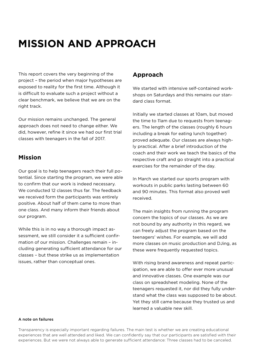## **MISSION AND APPROACH**

This report covers the very beginning of the project – the period when major hypotheses are exposed to reality for the first time. Although it is difficult to evaluate such a project without a clear benchmark, we believe that we are on the right track.

Our mission remains unchanged. The general approach does not need to change either. We did, however, refine it since we had our first trial classes with teenagers in the fall of 2017.

### **Mission**

Our goal is to help teenagers reach their full potential. Since starting the program, we were able to confirm that our work is indeed necessary. We conducted 12 classes thus far. The feedback we received form the participants was entirely positive. About half of them came to more than one class. And many inform their friends about our program.

While this is in no way a thorough impact assessment, we still consider it a sufficient confirmation of our mission. Challenges remain – including generating sufficient attendance for our classes – but these strike us as implementation issues, rather than conceptual ones.

## **Approach**

We started with intensive self-contained workshops on Saturdays and this remains our standard class format.

Initially we started classes at 10am, but moved the time to 11am due to requests from teenagers. The length of the classes (roughly 6 hours including a break for eating lunch together) proved adequate. Our classes are always highly practical. After a brief introduction of the coach and their work we teach the basics of the respective craft and go straight into a practical exercises for the remainder of the day.

In March we started our sports program with workouts in public parks lasting between 60 and 90 minutes. This format also proved well received.

The main insights from running the program concern the topics of our classes. As we are not bound by any authority in this regard, we can freely adjust the program based on the teenagers' wishes. For example, we will add more classes on music production and DJing, as these were frequently requested topics.

With rising brand awareness and repeat participation, we are able to offer ever more unusual and innovative classes. One example was our class on spreadsheet modeling. None of the teenagers requested it, nor did they fully understand what the class was supposed to be about. Yet they still came because they trusted us and learned a valuable new skill.

#### A note on failures

Transparency is especially important regarding failures. The main test is whether we are creating educational experiences that are well attended and liked. We can confidently say that our participants are satisfied with their experiences. But we were not always able to generate sufficient attendance: Three classes had to be canceled.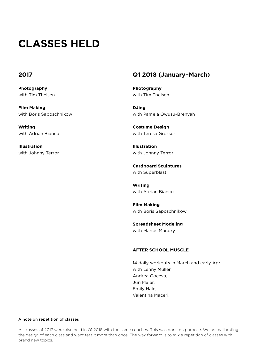## **CLASSES HELD**

#### **2017**

**Photography** with Tim Theisen

**Film Making** with Boris Saposchnikow

**Writing** with Adrian Bianco

**Illustration** with Johnny Terror

### **Q1 2018 (January–March)**

**Photography** with Tim Theisen

**DJing** with Pamela Owusu-Brenyah

**Costume Design** with Teresa Grosser

**Illustration** with Johnny Terror

**Cardboard Sculptures** with Superblast

**Writing** with Adrian Bianco

**Film Making** with Boris Saposchnikow

**Spreadsheet Modeling** with Marcel Mandry

#### **AFTER SCHOOL MUSCLE**

14 daily workouts in March and early April with Lenny Müller, Andrea Goceva, Juri Maier, Emily Hale, Valentina Maceri.

#### A note on repetition of classes

All classes of 2017 were also held in Q1 2018 with the same coaches. This was done on purpose. We are calibrating the design of each class and want test it more than once. The way forward is to mix a repetition of classes with brand new topics.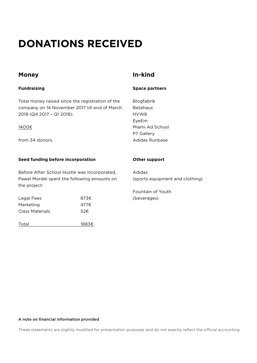## **DONATIONS RECEIVED**

### **Money**

#### **Fundraising**

Total money raised since the registration of the company on 14 November 2017 till end of March 2018 (Q4 2017 – Q1 2018):

#### 1400€

from 34 donors.

#### **Seed funding before incorporation**

Before After School Hustle was incorporated, Pawel Mordel spent the following amounts on the project:

Legal Fees 873€ Marketing 477€ Class Materials 52€

Total 1883€

## **In-kind**

**Space partners**

Blogfabrik Betahaus HVW8 EyeEm Miami Ad School P7 Gallery Adidas Runbase

#### **Other support**

Adidas (sports equipment and clothing)

Fountain of Youth (beverages)

#### A note on financial information provided

These statements are slightly modified for presentation purposes and do not exactly reflect the official accounting.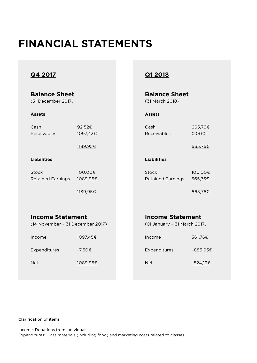## **FINANCIAL STATEMENTS**

## **Q4 2017**

| <b>Balance Sheet</b><br>(31 December 2017)                  |                     | <b>Balance Sheet</b><br>(31 March 2018) |                                                         |                    |
|-------------------------------------------------------------|---------------------|-----------------------------------------|---------------------------------------------------------|--------------------|
| <b>Assets</b>                                               |                     |                                         | <b>Assets</b>                                           |                    |
| Cash<br>Receivables                                         | 92,52€<br>1097,43€  |                                         | Cash<br>Receivables                                     | 665,76€<br>0,00€   |
|                                                             | 1189,95€            |                                         |                                                         | 665,76€            |
| <b>Liabilities</b>                                          |                     |                                         | <b>Liabilities</b>                                      |                    |
| <b>Stock</b><br><b>Retained Earnings</b>                    | 100,00€<br>1089,95€ |                                         | <b>Stock</b><br><b>Retained Earnings</b>                | 100,00€<br>565,76€ |
|                                                             | 1189,95€            |                                         |                                                         | 665,76€            |
|                                                             |                     |                                         |                                                         |                    |
| <b>Income Statement</b><br>(14 November - 31 December 2017) |                     |                                         | <b>Income Statement</b><br>(01 January - 31 March 2017) |                    |
| Income                                                      | 1097,45€            |                                         | Income                                                  | 361,76€            |
| Expenditures                                                | $-7,50 \in$         |                                         | Expenditures                                            | $-885,95*$         |
| <b>Net</b>                                                  | 1089,95€            |                                         | <b>Net</b>                                              | -524,19€           |
|                                                             |                     |                                         |                                                         |                    |

## **Q1 2018**

| <b>Balance Sheet</b> |
|----------------------|
| (31 March 2018)      |

## **Income Statement**

#### Clarification of items

Income: Donations from individuals.

Expenditures: Class materials (including food) and marketing costs related to classes.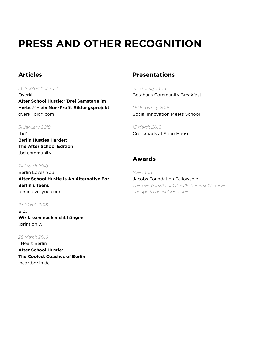## **PRESS AND OTHER RECOGNITION**

## **Articles**

*26 September 2017* Overkill **After School Hustle: "Drei Samstage im Herbst" – ein Non-Profit Bildungsprojekt** overkillblog.com

#### *31 January 2018*

tbd\* **Berlin Hustles Harder: The After School Edition** tbd.community

#### *24 March 2018*

Berlin Loves You **After School Hustle Is An Alternative For Berlin's Teens** berlinlovesyou.com

#### *28 March 2018*

B.Z. **Wir lassen euch nicht hängen** (print only)

#### *29 March 2018*

I Heart Berlin **After School Hustle: The Coolest Coaches of Berlin** iheartberlin.de

## **Presentations**

*25 January 2018* Betahaus Community Breakfast

*06 February 2018* Social Innovation Meets School

*15 March 2018* Crossroads at Soho House

## **Awards**

*May 2018* Jacobs Foundation Fellowship *This falls outside of Q1 2018, but is substantial enough to be included here.*